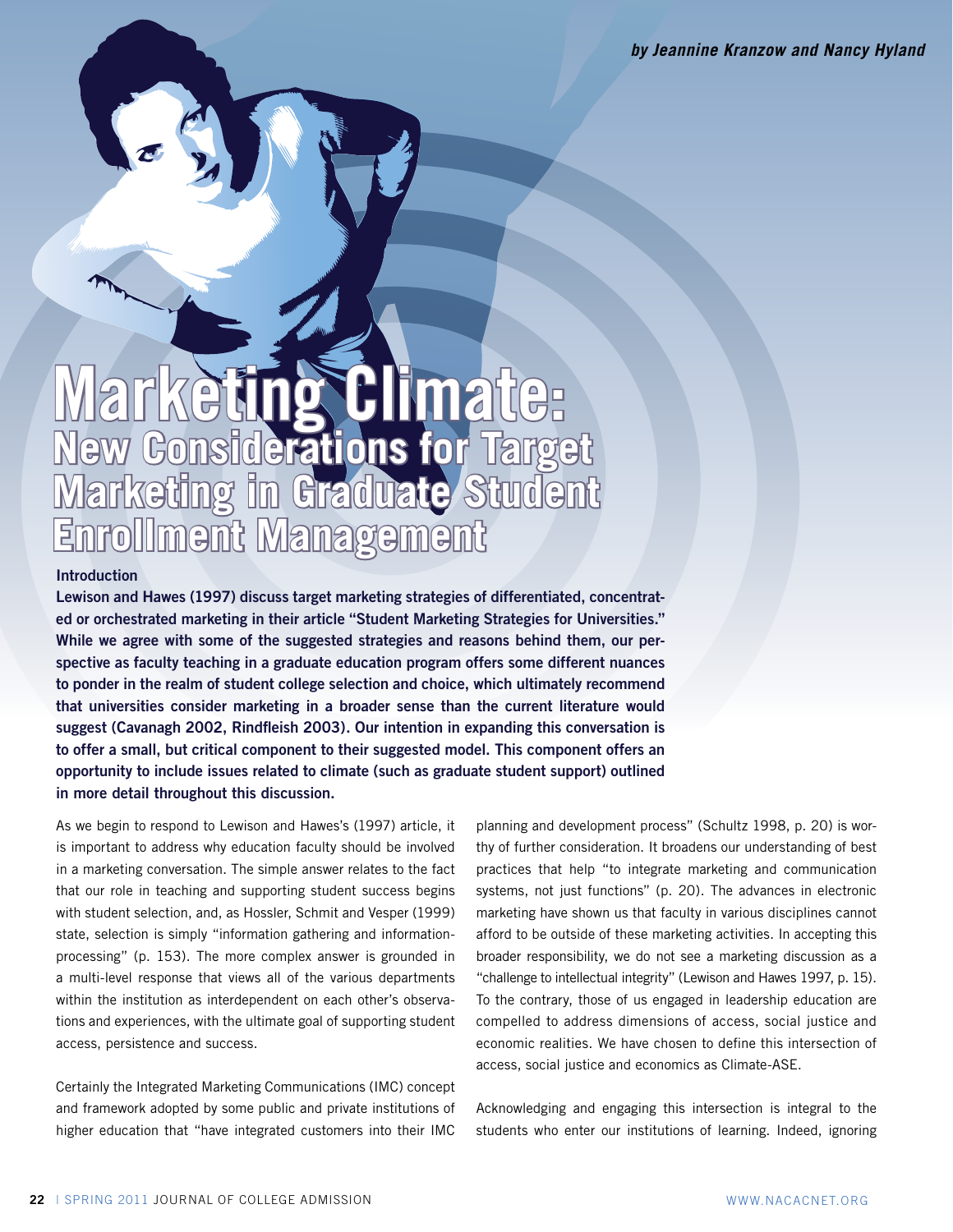*by Jeannine Kranzow and Nancy Hyland*

# **eting Climate: New Considerations for Target Marketing in Graduate Student Enrollment Management**

# **Introduction**

**Lewison and Hawes (1997) discuss target marketing strategies of differentiated, concentrated or orchestrated marketing in their article "Student Marketing Strategies for Universities." While we agree with some of the suggested strategies and reasons behind them, our perspective as faculty teaching in a graduate education program offers some different nuances to ponder in the realm of student college selection and choice, which ultimately recommend that universities consider marketing in a broader sense than the current literature would suggest (Cavanagh 2002, Rindfleish 2003). Our intention in expanding this conversation is to offer a small, but critical component to their suggested model. This component offers an opportunity to include issues related to climate (such as graduate student support) outlined in more detail throughout this discussion.** 

As we begin to respond to Lewison and Hawes's (1997) article, it is important to address why education faculty should be involved in a marketing conversation. The simple answer relates to the fact that our role in teaching and supporting student success begins with student selection, and, as Hossler, Schmit and Vesper (1999) state, selection is simply "information gathering and informationprocessing" (p. 153). The more complex answer is grounded in a multi-level response that views all of the various departments within the institution as interdependent on each other's observations and experiences, with the ultimate goal of supporting student access, persistence and success.

Certainly the Integrated Marketing Communications (IMC) concept and framework adopted by some public and private institutions of higher education that "have integrated customers into their IMC planning and development process" (Schultz 1998, p. 20) is worthy of further consideration. It broadens our understanding of best practices that help "to integrate marketing and communication systems, not just functions" (p. 20). The advances in electronic marketing have shown us that faculty in various disciplines cannot afford to be outside of these marketing activities. In accepting this broader responsibility, we do not see a marketing discussion as a "challenge to intellectual integrity" (Lewison and Hawes 1997, p. 15). To the contrary, those of us engaged in leadership education are compelled to address dimensions of access, social justice and economic realities. We have chosen to define this intersection of access, social justice and economics as Climate-ASE.

Acknowledging and engaging this intersection is integral to the students who enter our institutions of learning. Indeed, ignoring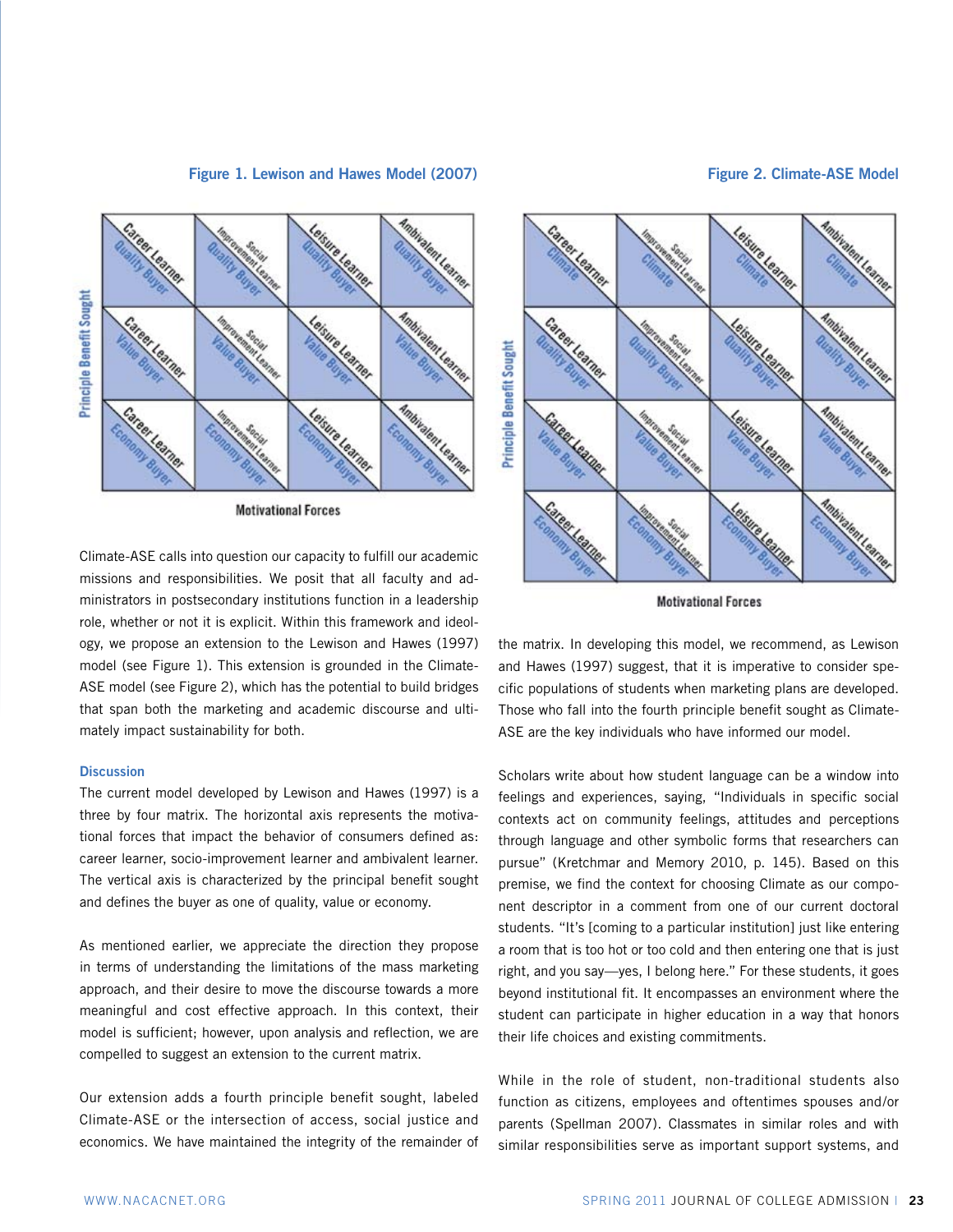## **Figure 1. Lewison and Hawes Model (2007) Figure 2. Climate-ASE Model**



**Motivational Forces** 

Climate-ASE calls into question our capacity to fulfill our academic missions and responsibilities. We posit that all faculty and administrators in postsecondary institutions function in a leadership role, whether or not it is explicit. Within this framework and ideology, we propose an extension to the Lewison and Hawes (1997) model (see Figure 1). This extension is grounded in the Climate-ASE model (see Figure 2), which has the potential to build bridges that span both the marketing and academic discourse and ultimately impact sustainability for both.

#### **Discussion**

The current model developed by Lewison and Hawes (1997) is a three by four matrix. The horizontal axis represents the motivational forces that impact the behavior of consumers defined as: career learner, socio-improvement learner and ambivalent learner. The vertical axis is characterized by the principal benefit sought and defines the buyer as one of quality, value or economy.

As mentioned earlier, we appreciate the direction they propose in terms of understanding the limitations of the mass marketing approach, and their desire to move the discourse towards a more meaningful and cost effective approach. In this context, their model is sufficient; however, upon analysis and reflection, we are compelled to suggest an extension to the current matrix.

Our extension adds a fourth principle benefit sought, labeled Climate-ASE or the intersection of access, social justice and economics. We have maintained the integrity of the remainder of



**Motivational Forces** 

the matrix. In developing this model, we recommend, as Lewison and Hawes (1997) suggest, that it is imperative to consider specific populations of students when marketing plans are developed. Those who fall into the fourth principle benefit sought as Climate-ASE are the key individuals who have informed our model.

Scholars write about how student language can be a window into feelings and experiences, saying, "Individuals in specific social contexts act on community feelings, attitudes and perceptions through language and other symbolic forms that researchers can pursue" (Kretchmar and Memory 2010, p. 145). Based on this premise, we find the context for choosing Climate as our component descriptor in a comment from one of our current doctoral students. "It's [coming to a particular institution] just like entering a room that is too hot or too cold and then entering one that is just right, and you say—yes, I belong here." For these students, it goes beyond institutional fit. It encompasses an environment where the student can participate in higher education in a way that honors their life choices and existing commitments.

While in the role of student, non-traditional students also function as citizens, employees and oftentimes spouses and/or parents (Spellman 2007). Classmates in similar roles and with similar responsibilities serve as important support systems, and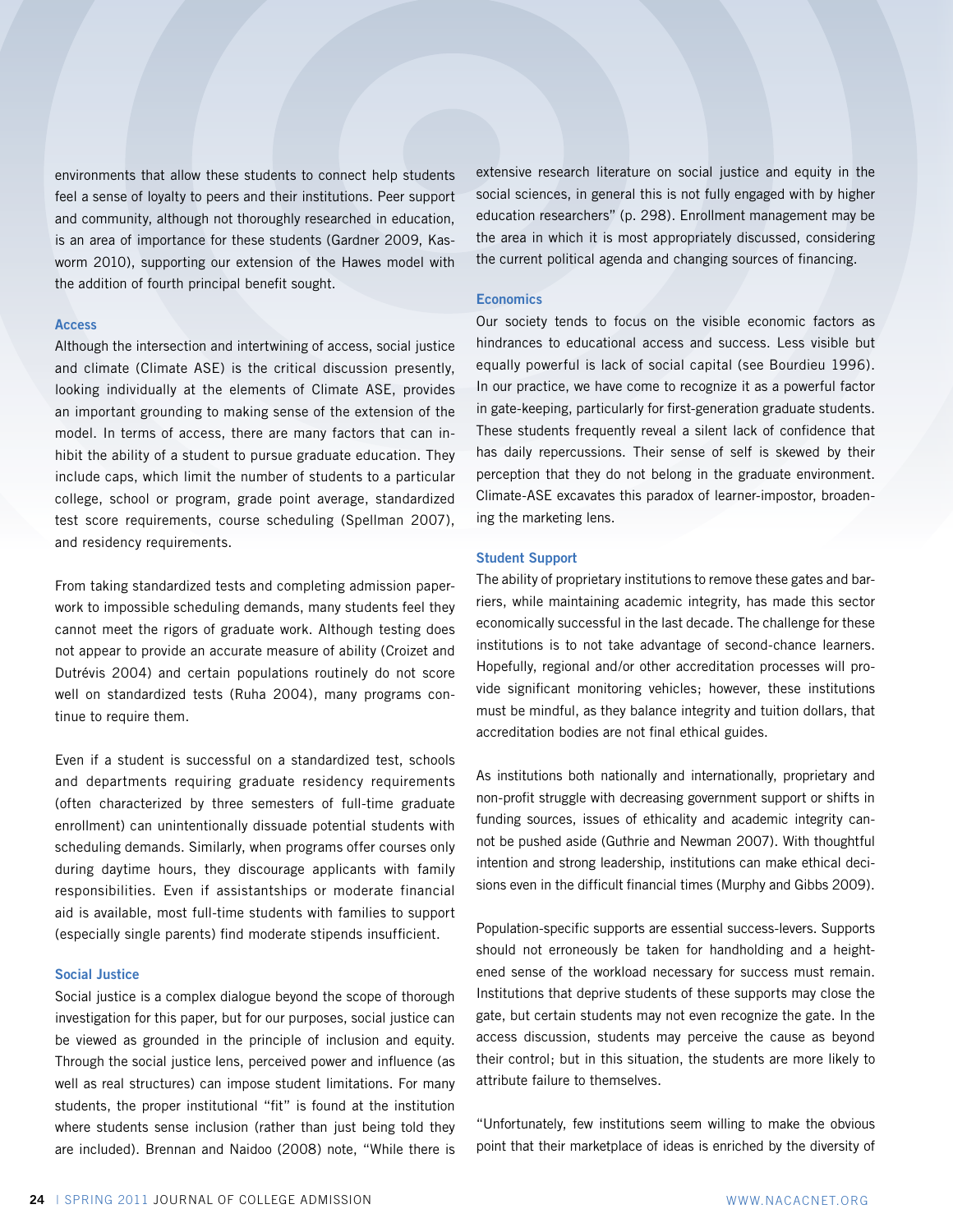environments that allow these students to connect help students feel a sense of loyalty to peers and their institutions. Peer support and community, although not thoroughly researched in education, is an area of importance for these students (Gardner 2009, Kasworm 2010), supporting our extension of the Hawes model with the addition of fourth principal benefit sought.

#### **Access**

Although the intersection and intertwining of access, social justice and climate (Climate ASE) is the critical discussion presently, looking individually at the elements of Climate ASE, provides an important grounding to making sense of the extension of the model. In terms of access, there are many factors that can inhibit the ability of a student to pursue graduate education. They include caps, which limit the number of students to a particular college, school or program, grade point average, standardized test score requirements, course scheduling (Spellman 2007), and residency requirements.

From taking standardized tests and completing admission paperwork to impossible scheduling demands, many students feel they cannot meet the rigors of graduate work. Although testing does not appear to provide an accurate measure of ability (Croizet and Dutrévis 2004) and certain populations routinely do not score well on standardized tests (Ruha 2004), many programs continue to require them.

Even if a student is successful on a standardized test, schools and departments requiring graduate residency requirements (often characterized by three semesters of full-time graduate enrollment) can unintentionally dissuade potential students with scheduling demands. Similarly, when programs offer courses only during daytime hours, they discourage applicants with family responsibilities. Even if assistantships or moderate financial aid is available, most full-time students with families to support (especially single parents) find moderate stipends insufficient.

### **Social Justice**

Social justice is a complex dialogue beyond the scope of thorough investigation for this paper, but for our purposes, social justice can be viewed as grounded in the principle of inclusion and equity. Through the social justice lens, perceived power and influence (as well as real structures) can impose student limitations. For many students, the proper institutional "fit" is found at the institution where students sense inclusion (rather than just being told they are included). Brennan and Naidoo (2008) note, "While there is extensive research literature on social justice and equity in the social sciences, in general this is not fully engaged with by higher education researchers" (p. 298). Enrollment management may be the area in which it is most appropriately discussed, considering the current political agenda and changing sources of financing.

#### **Economics**

Our society tends to focus on the visible economic factors as hindrances to educational access and success. Less visible but equally powerful is lack of social capital (see Bourdieu 1996). In our practice, we have come to recognize it as a powerful factor in gate-keeping, particularly for first-generation graduate students. These students frequently reveal a silent lack of confidence that has daily repercussions. Their sense of self is skewed by their perception that they do not belong in the graduate environment. Climate-ASE excavates this paradox of learner-impostor, broadening the marketing lens.

#### **Student Support**

The ability of proprietary institutions to remove these gates and barriers, while maintaining academic integrity, has made this sector economically successful in the last decade. The challenge for these institutions is to not take advantage of second-chance learners. Hopefully, regional and/or other accreditation processes will provide significant monitoring vehicles; however, these institutions must be mindful, as they balance integrity and tuition dollars, that accreditation bodies are not final ethical guides.

As institutions both nationally and internationally, proprietary and non-profit struggle with decreasing government support or shifts in funding sources, issues of ethicality and academic integrity cannot be pushed aside (Guthrie and Newman 2007). With thoughtful intention and strong leadership, institutions can make ethical decisions even in the difficult financial times (Murphy and Gibbs 2009).

Population-specific supports are essential success-levers. Supports should not erroneously be taken for handholding and a heightened sense of the workload necessary for success must remain. Institutions that deprive students of these supports may close the gate, but certain students may not even recognize the gate. In the access discussion, students may perceive the cause as beyond their control; but in this situation, the students are more likely to attribute failure to themselves.

"Unfortunately, few institutions seem willing to make the obvious point that their marketplace of ideas is enriched by the diversity of